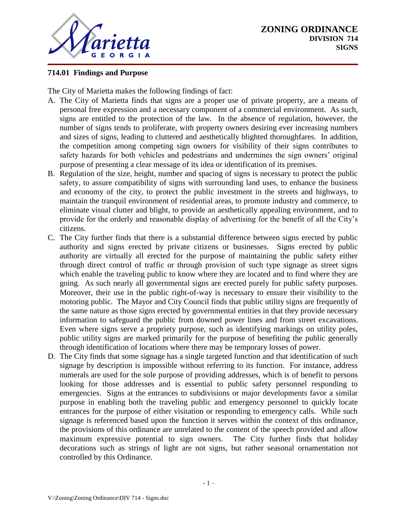

# **714.01 Findings and Purpose**

The City of Marietta makes the following findings of fact:

- A. The City of Marietta finds that signs are a proper use of private property, are a means of personal free expression and a necessary component of a commercial environment. As such, signs are entitled to the protection of the law. In the absence of regulation, however, the number of signs tends to proliferate, with property owners desiring ever increasing numbers and sizes of signs, leading to cluttered and aesthetically blighted thoroughfares. In addition, the competition among competing sign owners for visibility of their signs contributes to safety hazards for both vehicles and pedestrians and undermines the sign owners' original purpose of presenting a clear message of its idea or identification of its premises.
- B. Regulation of the size, height, number and spacing of signs is necessary to protect the public safety, to assure compatibility of signs with surrounding land uses, to enhance the business and economy of the city, to protect the public investment in the streets and highways, to maintain the tranquil environment of residential areas, to promote industry and commerce, to eliminate visual clutter and blight, to provide an aesthetically appealing environment, and to provide for the orderly and reasonable display of advertising for the benefit of all the City's citizens.
- C. The City further finds that there is a substantial difference between signs erected by public authority and signs erected by private citizens or businesses. Signs erected by public authority are virtually all erected for the purpose of maintaining the public safety either through direct control of traffic or through provision of such type signage as street signs which enable the traveling public to know where they are located and to find where they are going. As such nearly all governmental signs are erected purely for public safety purposes. Moreover, their use in the public right-of-way is necessary to ensure their visibility to the motoring public. The Mayor and City Council finds that public utility signs are frequently of the same nature as those signs erected by governmental entities in that they provide necessary information to safeguard the public from downed power lines and from street excavations. Even where signs serve a propriety purpose, such as identifying markings on utility poles, public utility signs are marked primarily for the purpose of benefiting the public generally through identification of locations where there may be temporary losses of power.
- D. The City finds that some signage has a single targeted function and that identification of such signage by description is impossible without referring to its function. For instance, address numerals are used for the sole purpose of providing addresses, which is of benefit to persons looking for those addresses and is essential to public safety personnel responding to emergencies. Signs at the entrances to subdivisions or major developments favor a similar purpose in enabling both the traveling public and emergency personnel to quickly locate entrances for the purpose of either visitation or responding to emergency calls. While such signage is referenced based upon the function it serves within the context of this ordinance, the provisions of this ordinance are unrelated to the content of the speech provided and allow maximum expressive potential to sign owners. The City further finds that holiday decorations such as strings of light are not signs, but rather seasonal ornamentation not controlled by this Ordinance.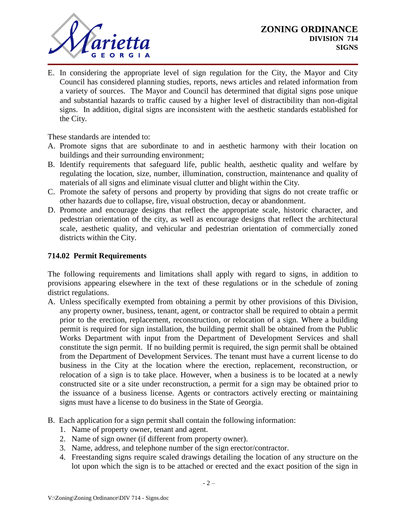

E. In considering the appropriate level of sign regulation for the City, the Mayor and City Council has considered planning studies, reports, news articles and related information from a variety of sources. The Mayor and Council has determined that digital signs pose unique and substantial hazards to traffic caused by a higher level of distractibility than non-digital signs. In addition, digital signs are inconsistent with the aesthetic standards established for the City.

These standards are intended to:

- A. Promote signs that are subordinate to and in aesthetic harmony with their location on buildings and their surrounding environment;
- B. Identify requirements that safeguard life, public health, aesthetic quality and welfare by regulating the location, size, number, illumination, construction, maintenance and quality of materials of all signs and eliminate visual clutter and blight within the City.
- C. Promote the safety of persons and property by providing that signs do not create traffic or other hazards due to collapse, fire, visual obstruction, decay or abandonment.
- D. Promote and encourage designs that reflect the appropriate scale, historic character, and pedestrian orientation of the city, as well as encourage designs that reflect the architectural scale, aesthetic quality, and vehicular and pedestrian orientation of commercially zoned districts within the City.

### **714.02 Permit Requirements**

The following requirements and limitations shall apply with regard to signs, in addition to provisions appearing elsewhere in the text of these regulations or in the schedule of zoning district regulations.

- A. Unless specifically exempted from obtaining a permit by other provisions of this Division, any property owner, business, tenant, agent, or contractor shall be required to obtain a permit prior to the erection, replacement, reconstruction, or relocation of a sign. Where a building permit is required for sign installation, the building permit shall be obtained from the Public Works Department with input from the Department of Development Services and shall constitute the sign permit. If no building permit is required, the sign permit shall be obtained from the Department of Development Services. The tenant must have a current license to do business in the City at the location where the erection, replacement, reconstruction, or relocation of a sign is to take place. However, when a business is to be located at a newly constructed site or a site under reconstruction, a permit for a sign may be obtained prior to the issuance of a business license. Agents or contractors actively erecting or maintaining signs must have a license to do business in the State of Georgia.
- B. Each application for a sign permit shall contain the following information:
	- 1. Name of property owner, tenant and agent.
	- 2. Name of sign owner (if different from property owner).
	- 3. Name, address, and telephone number of the sign erector/contractor.
	- 4. Freestanding signs require scaled drawings detailing the location of any structure on the lot upon which the sign is to be attached or erected and the exact position of the sign in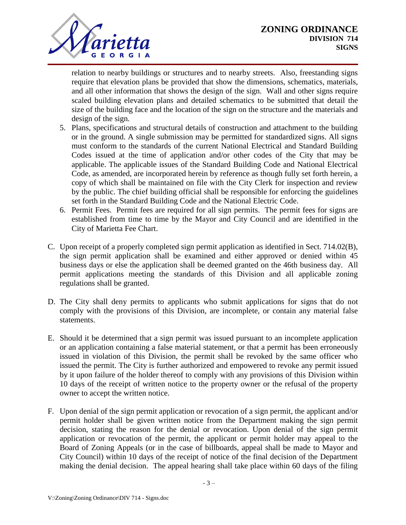

relation to nearby buildings or structures and to nearby streets. Also, freestanding signs require that elevation plans be provided that show the dimensions, schematics, materials, and all other information that shows the design of the sign. Wall and other signs require scaled building elevation plans and detailed schematics to be submitted that detail the size of the building face and the location of the sign on the structure and the materials and design of the sign.

- 5. Plans, specifications and structural details of construction and attachment to the building or in the ground. A single submission may be permitted for standardized signs. All signs must conform to the standards of the current National Electrical and Standard Building Codes issued at the time of application and/or other codes of the City that may be applicable. The applicable issues of the Standard Building Code and National Electrical Code, as amended, are incorporated herein by reference as though fully set forth herein, a copy of which shall be maintained on file with the City Clerk for inspection and review by the public. The chief building official shall be responsible for enforcing the guidelines set forth in the Standard Building Code and the National Electric Code.
- 6. Permit Fees. Permit fees are required for all sign permits. The permit fees for signs are established from time to time by the Mayor and City Council and are identified in the City of Marietta Fee Chart.
- C. Upon receipt of a properly completed sign permit application as identified in Sect. 714.02(B), the sign permit application shall be examined and either approved or denied within 45 business days or else the application shall be deemed granted on the 46th business day. All permit applications meeting the standards of this Division and all applicable zoning regulations shall be granted.
- D. The City shall deny permits to applicants who submit applications for signs that do not comply with the provisions of this Division, are incomplete, or contain any material false statements.
- E. Should it be determined that a sign permit was issued pursuant to an incomplete application or an application containing a false material statement, or that a permit has been erroneously issued in violation of this Division, the permit shall be revoked by the same officer who issued the permit. The City is further authorized and empowered to revoke any permit issued by it upon failure of the holder thereof to comply with any provisions of this Division within 10 days of the receipt of written notice to the property owner or the refusal of the property owner to accept the written notice.
- F. Upon denial of the sign permit application or revocation of a sign permit, the applicant and/or permit holder shall be given written notice from the Department making the sign permit decision, stating the reason for the denial or revocation. Upon denial of the sign permit application or revocation of the permit, the applicant or permit holder may appeal to the Board of Zoning Appeals (or in the case of billboards, appeal shall be made to Mayor and City Council) within 10 days of the receipt of notice of the final decision of the Department making the denial decision. The appeal hearing shall take place within 60 days of the filing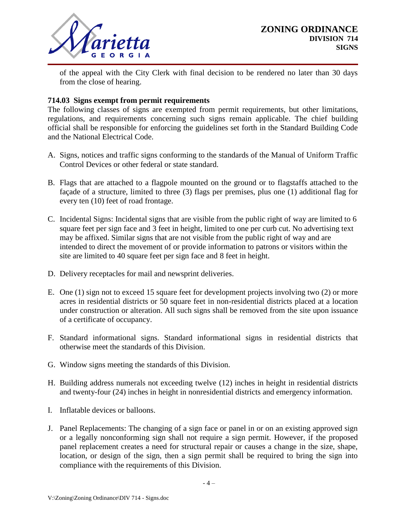

of the appeal with the City Clerk with final decision to be rendered no later than 30 days from the close of hearing.

## **714.03 Signs exempt from permit requirements**

The following classes of signs are exempted from permit requirements, but other limitations, regulations, and requirements concerning such signs remain applicable. The chief building official shall be responsible for enforcing the guidelines set forth in the Standard Building Code and the National Electrical Code.

- A. Signs, notices and traffic signs conforming to the standards of the Manual of Uniform Traffic Control Devices or other federal or state standard.
- B. Flags that are attached to a flagpole mounted on the ground or to flagstaffs attached to the façade of a structure, limited to three (3) flags per premises, plus one (1) additional flag for every ten (10) feet of road frontage.
- C. Incidental Signs: Incidental signs that are visible from the public right of way are limited to 6 square feet per sign face and 3 feet in height, limited to one per curb cut. No advertising text may be affixed. Similar signs that are not visible from the public right of way and are intended to direct the movement of or provide information to patrons or visitors within the site are limited to 40 square feet per sign face and 8 feet in height.
- D. Delivery receptacles for mail and newsprint deliveries.
- E. One (1) sign not to exceed 15 square feet for development projects involving two (2) or more acres in residential districts or 50 square feet in non-residential districts placed at a location under construction or alteration. All such signs shall be removed from the site upon issuance of a certificate of occupancy.
- F. Standard informational signs. Standard informational signs in residential districts that otherwise meet the standards of this Division.
- G. Window signs meeting the standards of this Division.
- H. Building address numerals not exceeding twelve (12) inches in height in residential districts and twenty-four (24) inches in height in nonresidential districts and emergency information.
- I. Inflatable devices or balloons.
- J. Panel Replacements: The changing of a sign face or panel in or on an existing approved sign or a legally nonconforming sign shall not require a sign permit. However, if the proposed panel replacement creates a need for structural repair or causes a change in the size, shape, location, or design of the sign, then a sign permit shall be required to bring the sign into compliance with the requirements of this Division.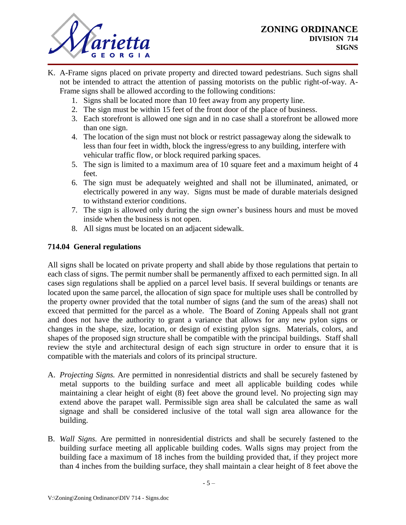

- K. A-Frame signs placed on private property and directed toward pedestrians. Such signs shall not be intended to attract the attention of passing motorists on the public right-of-way. A-Frame signs shall be allowed according to the following conditions:
	- 1. Signs shall be located more than 10 feet away from any property line.
	- 2. The sign must be within 15 feet of the front door of the place of business.
	- 3. Each storefront is allowed one sign and in no case shall a storefront be allowed more than one sign.
	- 4. The location of the sign must not block or restrict passageway along the sidewalk to less than four feet in width, block the ingress/egress to any building, interfere with vehicular traffic flow, or block required parking spaces.
	- 5. The sign is limited to a maximum area of 10 square feet and a maximum height of 4 feet.
	- 6. The sign must be adequately weighted and shall not be illuminated, animated, or electrically powered in any way. Signs must be made of durable materials designed to withstand exterior conditions.
	- 7. The sign is allowed only during the sign owner's business hours and must be moved inside when the business is not open.
	- 8. All signs must be located on an adjacent sidewalk.

# **714.04 General regulations**

All signs shall be located on private property and shall abide by those regulations that pertain to each class of signs. The permit number shall be permanently affixed to each permitted sign. In all cases sign regulations shall be applied on a parcel level basis. If several buildings or tenants are located upon the same parcel, the allocation of sign space for multiple uses shall be controlled by the property owner provided that the total number of signs (and the sum of the areas) shall not exceed that permitted for the parcel as a whole. The Board of Zoning Appeals shall not grant and does not have the authority to grant a variance that allows for any new pylon signs or changes in the shape, size, location, or design of existing pylon signs. Materials, colors, and shapes of the proposed sign structure shall be compatible with the principal buildings. Staff shall review the style and architectural design of each sign structure in order to ensure that it is compatible with the materials and colors of its principal structure.

- A. *Projecting Signs.* Are permitted in nonresidential districts and shall be securely fastened by metal supports to the building surface and meet all applicable building codes while maintaining a clear height of eight (8) feet above the ground level. No projecting sign may extend above the parapet wall. Permissible sign area shall be calculated the same as wall signage and shall be considered inclusive of the total wall sign area allowance for the building.
- B. *Wall Signs.* Are permitted in nonresidential districts and shall be securely fastened to the building surface meeting all applicable building codes. Walls signs may project from the building face a maximum of 18 inches from the building provided that, if they project more than 4 inches from the building surface, they shall maintain a clear height of 8 feet above the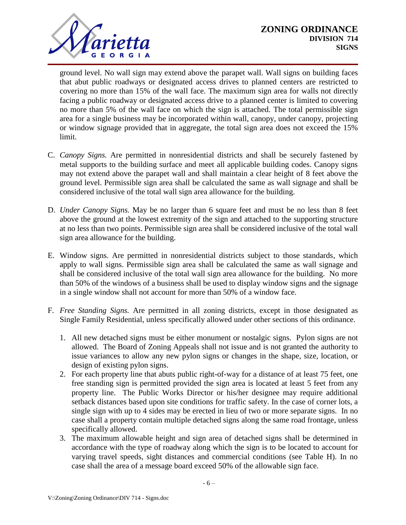

ground level. No wall sign may extend above the parapet wall. Wall signs on building faces that abut public roadways or designated access drives to planned centers are restricted to covering no more than 15% of the wall face. The maximum sign area for walls not directly facing a public roadway or designated access drive to a planned center is limited to covering no more than 5% of the wall face on which the sign is attached. The total permissible sign area for a single business may be incorporated within wall, canopy, under canopy, projecting or window signage provided that in aggregate, the total sign area does not exceed the 15% limit.

- C. *Canopy Signs.* Are permitted in nonresidential districts and shall be securely fastened by metal supports to the building surface and meet all applicable building codes. Canopy signs may not extend above the parapet wall and shall maintain a clear height of 8 feet above the ground level. Permissible sign area shall be calculated the same as wall signage and shall be considered inclusive of the total wall sign area allowance for the building.
- D. *Under Canopy Signs.* May be no larger than 6 square feet and must be no less than 8 feet above the ground at the lowest extremity of the sign and attached to the supporting structure at no less than two points. Permissible sign area shall be considered inclusive of the total wall sign area allowance for the building.
- E. Window signs. Are permitted in nonresidential districts subject to those standards, which apply to wall signs. Permissible sign area shall be calculated the same as wall signage and shall be considered inclusive of the total wall sign area allowance for the building. No more than 50% of the windows of a business shall be used to display window signs and the signage in a single window shall not account for more than 50% of a window face.
- F. *Free Standing Signs.* Are permitted in all zoning districts, except in those designated as Single Family Residential, unless specifically allowed under other sections of this ordinance.
	- 1. All new detached signs must be either monument or nostalgic signs. Pylon signs are not allowed. The Board of Zoning Appeals shall not issue and is not granted the authority to issue variances to allow any new pylon signs or changes in the shape, size, location, or design of existing pylon signs.
	- 2. For each property line that abuts public right-of-way for a distance of at least 75 feet, one free standing sign is permitted provided the sign area is located at least 5 feet from any property line. The Public Works Director or his/her designee may require additional setback distances based upon site conditions for traffic safety. In the case of corner lots, a single sign with up to 4 sides may be erected in lieu of two or more separate signs. In no case shall a property contain multiple detached signs along the same road frontage, unless specifically allowed.
	- 3. The maximum allowable height and sign area of detached signs shall be determined in accordance with the type of roadway along which the sign is to be located to account for varying travel speeds, sight distances and commercial conditions (see Table H). In no case shall the area of a message board exceed 50% of the allowable sign face.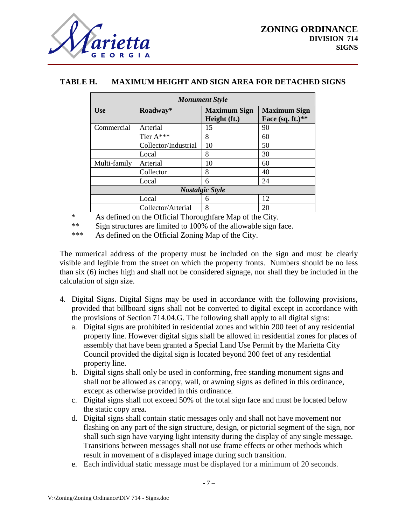

| TABLE H. | <b>MAXIMUM HEIGHT AND SIGN AREA FOR DETACHED SIGNS</b> |  |  |
|----------|--------------------------------------------------------|--|--|
|          |                                                        |  |  |

| <b>Monument Style</b>  |                      |                                     |                                            |  |  |  |
|------------------------|----------------------|-------------------------------------|--------------------------------------------|--|--|--|
| <b>Use</b>             | Roadway*             | <b>Maximum Sign</b><br>Height (ft.) | <b>Maximum Sign</b><br>Face $(sq. ft.)$ ** |  |  |  |
| Commercial             | Arterial             | 15                                  | 90                                         |  |  |  |
|                        | Tier A***            | 8                                   | 60                                         |  |  |  |
|                        | Collector/Industrial | 10                                  | 50                                         |  |  |  |
|                        | Local                | 8                                   | 30                                         |  |  |  |
| Multi-family           | Arterial             | 10                                  | 60                                         |  |  |  |
|                        | Collector            | 8                                   | 40                                         |  |  |  |
|                        | Local                | 6                                   | 24                                         |  |  |  |
| <b>Nostalgic Style</b> |                      |                                     |                                            |  |  |  |
|                        | Local                | 6                                   | 12                                         |  |  |  |
|                        | Collector/Arterial   | 8                                   | 20                                         |  |  |  |

\* As defined on the Official Thoroughfare Map of the City. \*\* Sign structures are limited to 100% of the allowable sign face.

\*\*\* As defined on the Official Zoning Map of the City.

The numerical address of the property must be included on the sign and must be clearly visible and legible from the street on which the property fronts. Numbers should be no less than six (6) inches high and shall not be considered signage, nor shall they be included in the calculation of sign size.

- 4. Digital Signs. Digital Signs may be used in accordance with the following provisions, provided that billboard signs shall not be converted to digital except in accordance with the provisions of Section 714.04.G. The following shall apply to all digital signs:
	- a. Digital signs are prohibited in residential zones and within 200 feet of any residential property line. However digital signs shall be allowed in residential zones for places of assembly that have been granted a Special Land Use Permit by the Marietta City Council provided the digital sign is located beyond 200 feet of any residential property line.
	- b. Digital signs shall only be used in conforming, free standing monument signs and shall not be allowed as canopy, wall, or awning signs as defined in this ordinance, except as otherwise provided in this ordinance.
	- c. Digital signs shall not exceed 50% of the total sign face and must be located below the static copy area.
	- d. Digital signs shall contain static messages only and shall not have movement nor flashing on any part of the sign structure, design, or pictorial segment of the sign, nor shall such sign have varying light intensity during the display of any single message. Transitions between messages shall not use frame effects or other methods which result in movement of a displayed image during such transition.
	- e. Each individual static message must be displayed for a minimum of 20 seconds.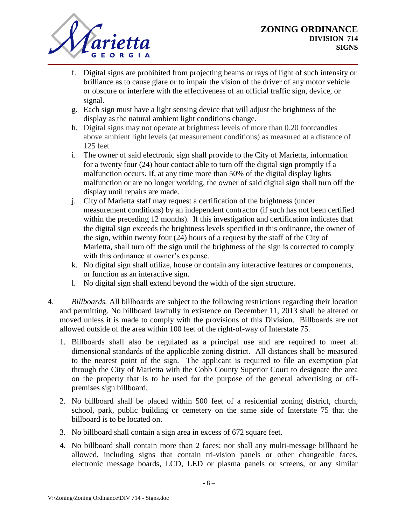

- f. Digital signs are prohibited from projecting beams or rays of light of such intensity or brilliance as to cause glare or to impair the vision of the driver of any motor vehicle or obscure or interfere with the effectiveness of an official traffic sign, device, or signal.
- g. Each sign must have a light sensing device that will adjust the brightness of the display as the natural ambient light conditions change.
- h. Digital signs may not operate at brightness levels of more than 0.20 footcandles above ambient light levels (at measurement conditions) as measured at a distance of 125 feet
- i. The owner of said electronic sign shall provide to the City of Marietta, information for a twenty four (24) hour contact able to turn off the digital sign promptly if a malfunction occurs. If, at any time more than 50% of the digital display lights malfunction or are no longer working, the owner of said digital sign shall turn off the display until repairs are made.
- j. City of Marietta staff may request a certification of the brightness (under measurement conditions) by an independent contractor (if such has not been certified within the preceding 12 months). If this investigation and certification indicates that the digital sign exceeds the brightness levels specified in this ordinance, the owner of the sign, within twenty four (24) hours of a request by the staff of the City of Marietta, shall turn off the sign until the brightness of the sign is corrected to comply with this ordinance at owner's expense.
- k. No digital sign shall utilize, house or contain any interactive features or components, or function as an interactive sign.
- l. No digital sign shall extend beyond the width of the sign structure.
- 4. *Billboards.* All billboards are subject to the following restrictions regarding their location and permitting. No billboard lawfully in existence on December 11, 2013 shall be altered or moved unless it is made to comply with the provisions of this Division. Billboards are not allowed outside of the area within 100 feet of the right-of-way of Interstate 75.
	- 1. Billboards shall also be regulated as a principal use and are required to meet all dimensional standards of the applicable zoning district. All distances shall be measured to the nearest point of the sign. The applicant is required to file an exemption plat through the City of Marietta with the Cobb County Superior Court to designate the area on the property that is to be used for the purpose of the general advertising or offpremises sign billboard.
	- 2. No billboard shall be placed within 500 feet of a residential zoning district, church, school, park, public building or cemetery on the same side of Interstate 75 that the billboard is to be located on.
	- 3. No billboard shall contain a sign area in excess of 672 square feet.
	- 4. No billboard shall contain more than 2 faces; nor shall any multi-message billboard be allowed, including signs that contain tri-vision panels or other changeable faces, electronic message boards, LCD, LED or plasma panels or screens, or any similar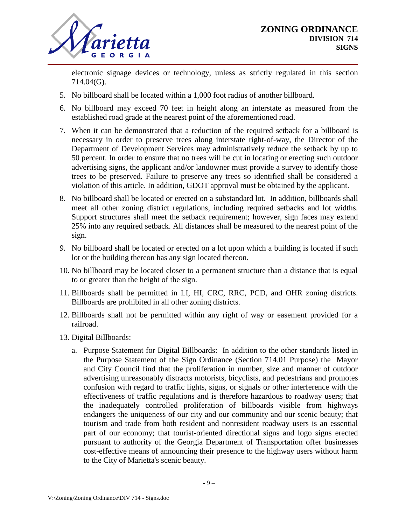

electronic signage devices or technology, unless as strictly regulated in this section 714.04(G).

- 5. No billboard shall be located within a 1,000 foot radius of another billboard.
- 6. No billboard may exceed 70 feet in height along an interstate as measured from the established road grade at the nearest point of the aforementioned road.
- 7. When it can be demonstrated that a reduction of the required setback for a billboard is necessary in order to preserve trees along interstate right-of-way, the Director of the Department of Development Services may administratively reduce the setback by up to 50 percent. In order to ensure that no trees will be cut in locating or erecting such outdoor advertising signs, the applicant and/or landowner must provide a survey to identify those trees to be preserved. Failure to preserve any trees so identified shall be considered a violation of this article. In addition, GDOT approval must be obtained by the applicant.
- 8. No billboard shall be located or erected on a substandard lot. In addition, billboards shall meet all other zoning district regulations, including required setbacks and lot widths. Support structures shall meet the setback requirement; however, sign faces may extend 25% into any required setback. All distances shall be measured to the nearest point of the sign.
- 9. No billboard shall be located or erected on a lot upon which a building is located if such lot or the building thereon has any sign located thereon.
- 10. No billboard may be located closer to a permanent structure than a distance that is equal to or greater than the height of the sign.
- 11. Billboards shall be permitted in LI, HI, CRC, RRC, PCD, and OHR zoning districts. Billboards are prohibited in all other zoning districts.
- 12. Billboards shall not be permitted within any right of way or easement provided for a railroad.
- 13. Digital Billboards:
	- a. Purpose Statement for Digital Billboards: In addition to the other standards listed in the Purpose Statement of the Sign Ordinance (Section 714.01 Purpose) the Mayor and City Council find that the proliferation in number, size and manner of outdoor advertising unreasonably distracts motorists, bicyclists, and pedestrians and promotes confusion with regard to traffic lights, signs, or signals or other interference with the effectiveness of traffic regulations and is therefore hazardous to roadway users; that the inadequately controlled proliferation of billboards visible from highways endangers the uniqueness of our city and our community and our scenic beauty; that tourism and trade from both resident and nonresident roadway users is an essential part of our economy; that tourist-oriented directional signs and logo signs erected pursuant to authority of the Georgia Department of Transportation offer businesses cost-effective means of announcing their presence to the highway users without harm to the City of Marietta's scenic beauty.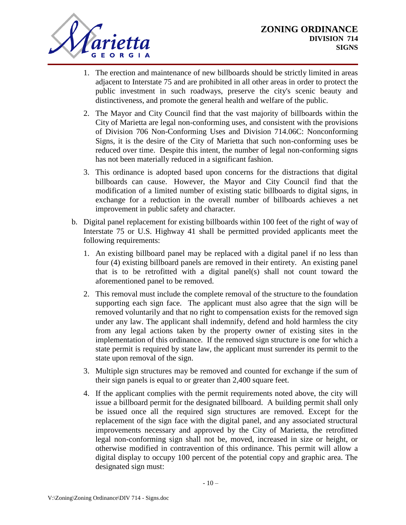

- 1. The erection and maintenance of new billboards should be strictly limited in areas adjacent to Interstate 75 and are prohibited in all other areas in order to protect the public investment in such roadways, preserve the city's scenic beauty and distinctiveness, and promote the general health and welfare of the public.
- 2. The Mayor and City Council find that the vast majority of billboards within the City of Marietta are legal non-conforming uses, and consistent with the provisions of Division 706 Non-Conforming Uses and Division 714.06C: Nonconforming Signs, it is the desire of the City of Marietta that such non-conforming uses be reduced over time. Despite this intent, the number of legal non-conforming signs has not been materially reduced in a significant fashion.
- 3. This ordinance is adopted based upon concerns for the distractions that digital billboards can cause. However, the Mayor and City Council find that the modification of a limited number of existing static billboards to digital signs, in exchange for a reduction in the overall number of billboards achieves a net improvement in public safety and character.
- b. Digital panel replacement for existing billboards within 100 feet of the right of way of Interstate 75 or U.S. Highway 41 shall be permitted provided applicants meet the following requirements:
	- 1. An existing billboard panel may be replaced with a digital panel if no less than four (4) existing billboard panels are removed in their entirety. An existing panel that is to be retrofitted with a digital panel(s) shall not count toward the aforementioned panel to be removed.
	- 2. This removal must include the complete removal of the structure to the foundation supporting each sign face. The applicant must also agree that the sign will be removed voluntarily and that no right to compensation exists for the removed sign under any law. The applicant shall indemnify, defend and hold harmless the city from any legal actions taken by the property owner of existing sites in the implementation of this ordinance. If the removed sign structure is one for which a state permit is required by state law, the applicant must surrender its permit to the state upon removal of the sign.
	- 3. Multiple sign structures may be removed and counted for exchange if the sum of their sign panels is equal to or greater than 2,400 square feet.
	- 4. If the applicant complies with the permit requirements noted above, the city will issue a billboard permit for the designated billboard. A building permit shall only be issued once all the required sign structures are removed. Except for the replacement of the sign face with the digital panel, and any associated structural improvements necessary and approved by the City of Marietta, the retrofitted legal non-conforming sign shall not be, moved, increased in size or height, or otherwise modified in contravention of this ordinance. This permit will allow a digital display to occupy 100 percent of the potential copy and graphic area. The designated sign must: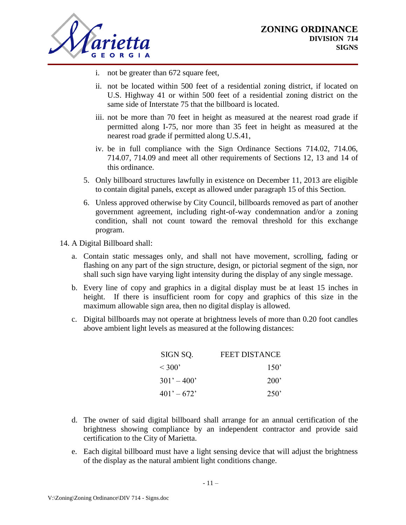

- i. not be greater than 672 square feet,
- ii. not be located within 500 feet of a residential zoning district, if located on U.S. Highway 41 or within 500 feet of a residential zoning district on the same side of Interstate 75 that the billboard is located.
- iii. not be more than 70 feet in height as measured at the nearest road grade if permitted along I-75, nor more than 35 feet in height as measured at the nearest road grade if permitted along U.S.41,
- iv. be in full compliance with the Sign Ordinance Sections 714.02, 714.06, 714.07, 714.09 and meet all other requirements of Sections 12, 13 and 14 of this ordinance.
- 5. Only billboard structures lawfully in existence on December 11, 2013 are eligible to contain digital panels, except as allowed under paragraph 15 of this Section.
- 6. Unless approved otherwise by City Council, billboards removed as part of another government agreement, including right-of-way condemnation and/or a zoning condition, shall not count toward the removal threshold for this exchange program.

#### 14. A Digital Billboard shall:

- a. Contain static messages only, and shall not have movement, scrolling, fading or flashing on any part of the sign structure, design, or pictorial segment of the sign, nor shall such sign have varying light intensity during the display of any single message.
- b. Every line of copy and graphics in a digital display must be at least 15 inches in height. If there is insufficient room for copy and graphics of this size in the maximum allowable sign area, then no digital display is allowed.
- c. Digital billboards may not operate at brightness levels of more than 0.20 foot candles above ambient light levels as measured at the following distances:

| SIGN SO.      | <b>FEET DISTANCE</b> |
|---------------|----------------------|
| $<$ 300'      | 150'                 |
| $301' - 400'$ | 200'                 |
| $401' - 672'$ | 250'                 |

- d. The owner of said digital billboard shall arrange for an annual certification of the brightness showing compliance by an independent contractor and provide said certification to the City of Marietta.
- e. Each digital billboard must have a light sensing device that will adjust the brightness of the display as the natural ambient light conditions change.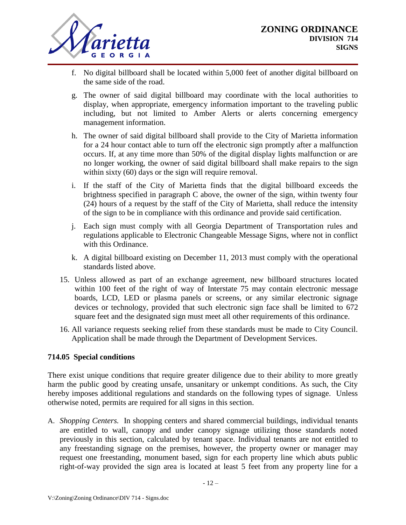

- f. No digital billboard shall be located within 5,000 feet of another digital billboard on the same side of the road.
- g. The owner of said digital billboard may coordinate with the local authorities to display, when appropriate, emergency information important to the traveling public including, but not limited to Amber Alerts or alerts concerning emergency management information.
- h. The owner of said digital billboard shall provide to the City of Marietta information for a 24 hour contact able to turn off the electronic sign promptly after a malfunction occurs. If, at any time more than 50% of the digital display lights malfunction or are no longer working, the owner of said digital billboard shall make repairs to the sign within sixty (60) days or the sign will require removal.
- i. If the staff of the City of Marietta finds that the digital billboard exceeds the brightness specified in paragraph C above, the owner of the sign, within twenty four (24) hours of a request by the staff of the City of Marietta, shall reduce the intensity of the sign to be in compliance with this ordinance and provide said certification.
- j. Each sign must comply with all Georgia Department of Transportation rules and regulations applicable to Electronic Changeable Message Signs, where not in conflict with this Ordinance.
- k. A digital billboard existing on December 11, 2013 must comply with the operational standards listed above.
- 15. Unless allowed as part of an exchange agreement, new billboard structures located within 100 feet of the right of way of Interstate 75 may contain electronic message boards, LCD, LED or plasma panels or screens, or any similar electronic signage devices or technology, provided that such electronic sign face shall be limited to 672 square feet and the designated sign must meet all other requirements of this ordinance.
- 16. All variance requests seeking relief from these standards must be made to City Council. Application shall be made through the Department of Development Services.

## **714.05 Special conditions**

There exist unique conditions that require greater diligence due to their ability to more greatly harm the public good by creating unsafe, unsanitary or unkempt conditions. As such, the City hereby imposes additional regulations and standards on the following types of signage. Unless otherwise noted, permits are required for all signs in this section.

A. *Shopping Centers.* In shopping centers and shared commercial buildings, individual tenants are entitled to wall, canopy and under canopy signage utilizing those standards noted previously in this section, calculated by tenant space. Individual tenants are not entitled to any freestanding signage on the premises, however, the property owner or manager may request one freestanding, monument based, sign for each property line which abuts public right-of-way provided the sign area is located at least 5 feet from any property line for a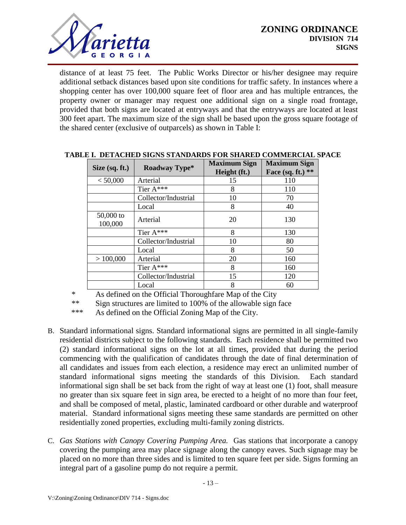

distance of at least 75 feet. The Public Works Director or his/her designee may require additional setback distances based upon site conditions for traffic safety. In instances where a shopping center has over 100,000 square feet of floor area and has multiple entrances, the property owner or manager may request one additional sign on a single road frontage, provided that both signs are located at entryways and that the entryways are located at least 300 feet apart. The maximum size of the sign shall be based upon the gross square footage of the shared center (exclusive of outparcels) as shown in Table I:

| Size $(sq. ft.)$       | <b>Roadway Type*</b> | <b>Maximum Sign</b> | <b>Maximum Sign</b> |
|------------------------|----------------------|---------------------|---------------------|
|                        |                      | Height (ft.)        | Face $(sq. ft.)$ ** |
| < 50,000               | Arterial             | 15                  | 110                 |
|                        | Tier A***            | 8                   | 110                 |
|                        | Collector/Industrial | 10                  | 70                  |
|                        | Local                | 8                   | 40                  |
| $50,000$ to<br>100,000 | Arterial             | 20                  | 130                 |
|                        | Tier $A***$          | 8                   | 130                 |
|                        | Collector/Industrial | 10                  | 80                  |
|                        | Local                | 8                   | 50                  |
| >100,000               | Arterial             | 20                  | 160                 |
|                        | Tier $A***$          | 8                   | 160                 |
|                        | Collector/Industrial | 15                  | 120                 |
|                        | Local                | 8                   | 60                  |

#### **TABLE I. DETACHED SIGNS STANDARDS FOR SHARED COMMERCIAL SPACE**

\* As defined on the Official Thoroughfare Map of the City

\*\* Sign structures are limited to 100% of the allowable sign face

\*\*\* As defined on the Official Zoning Map of the City.

- B. Standard informational signs. Standard informational signs are permitted in all single-family residential districts subject to the following standards. Each residence shall be permitted two (2) standard informational signs on the lot at all times, provided that during the period commencing with the qualification of candidates through the date of final determination of all candidates and issues from each election, a residence may erect an unlimited number of standard informational signs meeting the standards of this Division. Each standard informational sign shall be set back from the right of way at least one (1) foot, shall measure no greater than six square feet in sign area, be erected to a height of no more than four feet, and shall be composed of metal, plastic, laminated cardboard or other durable and waterproof material. Standard informational signs meeting these same standards are permitted on other residentially zoned properties, excluding multi-family zoning districts.
- C. *Gas Stations with Canopy Covering Pumping Area.* Gas stations that incorporate a canopy covering the pumping area may place signage along the canopy eaves. Such signage may be placed on no more than three sides and is limited to ten square feet per side. Signs forming an integral part of a gasoline pump do not require a permit.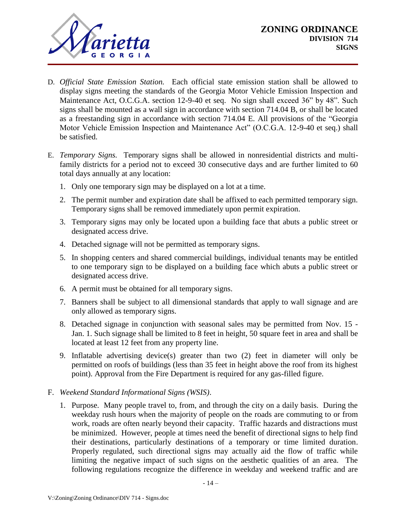

- D. *Official State Emission Station.* Each official state emission station shall be allowed to display signs meeting the standards of the Georgia Motor Vehicle Emission Inspection and Maintenance Act, O.C.G.A. section 12-9-40 et seq. No sign shall exceed 36" by 48". Such signs shall be mounted as a wall sign in accordance with section 714.04 B, or shall be located as a freestanding sign in accordance with section 714.04 E. All provisions of the "Georgia Motor Vehicle Emission Inspection and Maintenance Act" (O.C.G.A. 12-9-40 et seq.) shall be satisfied.
- E. *Temporary Signs.* Temporary signs shall be allowed in nonresidential districts and multifamily districts for a period not to exceed 30 consecutive days and are further limited to 60 total days annually at any location:
	- 1. Only one temporary sign may be displayed on a lot at a time.
	- 2. The permit number and expiration date shall be affixed to each permitted temporary sign. Temporary signs shall be removed immediately upon permit expiration.
	- 3. Temporary signs may only be located upon a building face that abuts a public street or designated access drive.
	- 4. Detached signage will not be permitted as temporary signs.
	- 5. In shopping centers and shared commercial buildings, individual tenants may be entitled to one temporary sign to be displayed on a building face which abuts a public street or designated access drive.
	- 6. A permit must be obtained for all temporary signs.
	- 7. Banners shall be subject to all dimensional standards that apply to wall signage and are only allowed as temporary signs.
	- 8. Detached signage in conjunction with seasonal sales may be permitted from Nov. 15 Jan. 1. Such signage shall be limited to 8 feet in height, 50 square feet in area and shall be located at least 12 feet from any property line.
	- 9. Inflatable advertising device(s) greater than two (2) feet in diameter will only be permitted on roofs of buildings (less than 35 feet in height above the roof from its highest point). Approval from the Fire Department is required for any gas-filled figure.
- F. *Weekend Standard Informational Signs (WSIS)*.
	- 1. Purpose. Many people travel to, from, and through the city on a daily basis. During the weekday rush hours when the majority of people on the roads are commuting to or from work, roads are often nearly beyond their capacity. Traffic hazards and distractions must be minimized. However, people at times need the benefit of directional signs to help find their destinations, particularly destinations of a temporary or time limited duration. Properly regulated, such directional signs may actually aid the flow of traffic while limiting the negative impact of such signs on the aesthetic qualities of an area. The following regulations recognize the difference in weekday and weekend traffic and are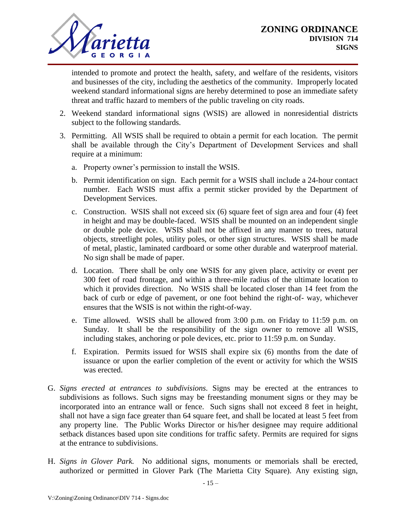

intended to promote and protect the health, safety, and welfare of the residents, visitors and businesses of the city, including the aesthetics of the community. Improperly located weekend standard informational signs are hereby determined to pose an immediate safety threat and traffic hazard to members of the public traveling on city roads.

- 2. Weekend standard informational signs (WSIS) are allowed in nonresidential districts subject to the following standards.
- 3. Permitting. All WSIS shall be required to obtain a permit for each location. The permit shall be available through the City's Department of Development Services and shall require at a minimum:
	- a. Property owner's permission to install the WSIS.
	- b. Permit identification on sign. Each permit for a WSIS shall include a 24-hour contact number. Each WSIS must affix a permit sticker provided by the Department of Development Services.
	- c. Construction. WSIS shall not exceed six (6) square feet of sign area and four (4) feet in height and may be double-faced. WSIS shall be mounted on an independent single or double pole device. WSIS shall not be affixed in any manner to trees, natural objects, streetlight poles, utility poles, or other sign structures. WSIS shall be made of metal, plastic, laminated cardboard or some other durable and waterproof material. No sign shall be made of paper.
	- d. Location. There shall be only one WSIS for any given place, activity or event per 300 feet of road frontage, and within a three-mile radius of the ultimate location to which it provides direction. No WSIS shall be located closer than 14 feet from the back of curb or edge of pavement, or one foot behind the right-of- way, whichever ensures that the WSIS is not within the right-of-way.
	- e. Time allowed. WSIS shall be allowed from 3:00 p.m. on Friday to 11:59 p.m. on Sunday. It shall be the responsibility of the sign owner to remove all WSIS, including stakes, anchoring or pole devices, etc. prior to 11:59 p.m. on Sunday.
	- f. Expiration. Permits issued for WSIS shall expire six (6) months from the date of issuance or upon the earlier completion of the event or activity for which the WSIS was erected.
- G. *Signs erected at entrances to subdivisions.* Signs may be erected at the entrances to subdivisions as follows. Such signs may be freestanding monument signs or they may be incorporated into an entrance wall or fence. Such signs shall not exceed 8 feet in height, shall not have a sign face greater than 64 square feet, and shall be located at least 5 feet from any property line. The Public Works Director or his/her designee may require additional setback distances based upon site conditions for traffic safety. Permits are required for signs at the entrance to subdivisions.
- H. *Signs in Glover Park.* No additional signs, monuments or memorials shall be erected, authorized or permitted in Glover Park (The Marietta City Square). Any existing sign,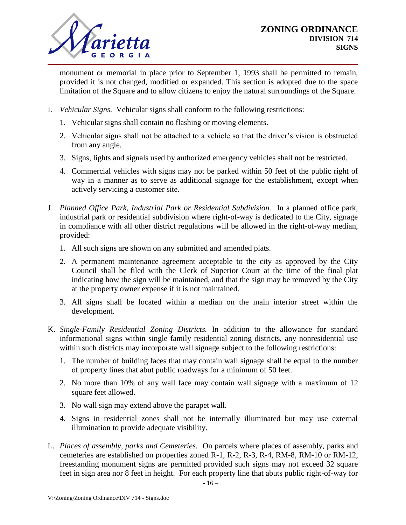

monument or memorial in place prior to September 1, 1993 shall be permitted to remain, provided it is not changed, modified or expanded. This section is adopted due to the space limitation of the Square and to allow citizens to enjoy the natural surroundings of the Square.

- I. *Vehicular Signs.* Vehicular signs shall conform to the following restrictions:
	- 1. Vehicular signs shall contain no flashing or moving elements.
	- 2. Vehicular signs shall not be attached to a vehicle so that the driver's vision is obstructed from any angle.
	- 3. Signs, lights and signals used by authorized emergency vehicles shall not be restricted.
	- 4. Commercial vehicles with signs may not be parked within 50 feet of the public right of way in a manner as to serve as additional signage for the establishment, except when actively servicing a customer site.
- J. *Planned Office Park, Industrial Park or Residential Subdivision.* In a planned office park, industrial park or residential subdivision where right-of-way is dedicated to the City, signage in compliance with all other district regulations will be allowed in the right-of-way median, provided:
	- 1. All such signs are shown on any submitted and amended plats.
	- 2. A permanent maintenance agreement acceptable to the city as approved by the City Council shall be filed with the Clerk of Superior Court at the time of the final plat indicating how the sign will be maintained, and that the sign may be removed by the City at the property owner expense if it is not maintained.
	- 3. All signs shall be located within a median on the main interior street within the development.
- K. *Single-Family Residential Zoning Districts.* In addition to the allowance for standard informational signs within single family residential zoning districts, any nonresidential use within such districts may incorporate wall signage subject to the following restrictions:
	- 1. The number of building faces that may contain wall signage shall be equal to the number of property lines that abut public roadways for a minimum of 50 feet.
	- 2. No more than 10% of any wall face may contain wall signage with a maximum of 12 square feet allowed.
	- 3. No wall sign may extend above the parapet wall.
	- 4. Signs in residential zones shall not be internally illuminated but may use external illumination to provide adequate visibility.
- L. *Places of assembly, parks and Cemeteries.* On parcels where places of assembly, parks and cemeteries are established on properties zoned R-1, R-2, R-3, R-4, RM-8, RM-10 or RM-12, freestanding monument signs are permitted provided such signs may not exceed 32 square feet in sign area nor 8 feet in height. For each property line that abuts public right-of-way for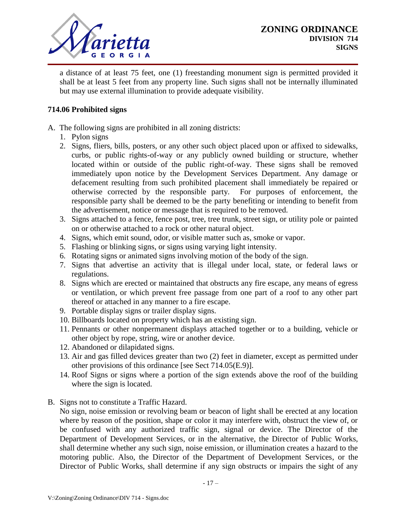

a distance of at least 75 feet, one (1) freestanding monument sign is permitted provided it shall be at least 5 feet from any property line. Such signs shall not be internally illuminated but may use external illumination to provide adequate visibility.

# **714.06 Prohibited signs**

- A. The following signs are prohibited in all zoning districts:
	- 1. Pylon signs
	- 2. Signs, fliers, bills, posters, or any other such object placed upon or affixed to sidewalks, curbs, or public rights-of-way or any publicly owned building or structure, whether located within or outside of the public right-of-way. These signs shall be removed immediately upon notice by the Development Services Department. Any damage or defacement resulting from such prohibited placement shall immediately be repaired or otherwise corrected by the responsible party. For purposes of enforcement, the responsible party shall be deemed to be the party benefiting or intending to benefit from the advertisement, notice or message that is required to be removed.
	- 3. Signs attached to a fence, fence post, tree, tree trunk, street sign, or utility pole or painted on or otherwise attached to a rock or other natural object.
	- 4. Signs, which emit sound, odor, or visible matter such as, smoke or vapor.
	- 5. Flashing or blinking signs, or signs using varying light intensity.
	- 6. Rotating signs or animated signs involving motion of the body of the sign.
	- 7. Signs that advertise an activity that is illegal under local, state, or federal laws or regulations.
	- 8. Signs which are erected or maintained that obstructs any fire escape, any means of egress or ventilation, or which prevent free passage from one part of a roof to any other part thereof or attached in any manner to a fire escape.
	- 9. Portable display signs or trailer display signs.
	- 10. Billboards located on property which has an existing sign.
	- 11. Pennants or other nonpermanent displays attached together or to a building, vehicle or other object by rope, string, wire or another device.
	- 12. Abandoned or dilapidated signs.
	- 13. Air and gas filled devices greater than two (2) feet in diameter, except as permitted under other provisions of this ordinance [see Sect 714.05(E.9)].
	- 14. Roof Signs or signs where a portion of the sign extends above the roof of the building where the sign is located.
- B. Signs not to constitute a Traffic Hazard.

No sign, noise emission or revolving beam or beacon of light shall be erected at any location where by reason of the position, shape or color it may interfere with, obstruct the view of, or be confused with any authorized traffic sign, signal or device. The Director of the Department of Development Services, or in the alternative, the Director of Public Works, shall determine whether any such sign, noise emission, or illumination creates a hazard to the motoring public. Also, the Director of the Department of Development Services, or the Director of Public Works, shall determine if any sign obstructs or impairs the sight of any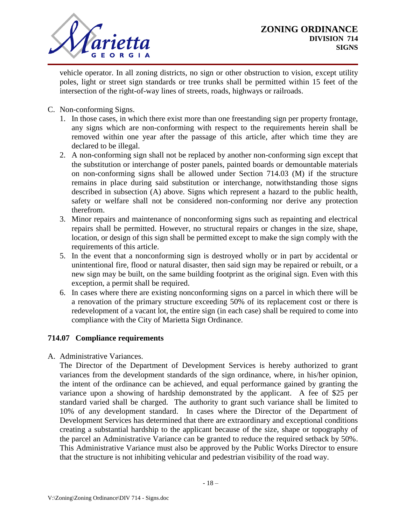

vehicle operator. In all zoning districts, no sign or other obstruction to vision, except utility poles, light or street sign standards or tree trunks shall be permitted within 15 feet of the intersection of the right-of-way lines of streets, roads, highways or railroads.

- C. Non-conforming Signs.
	- 1. In those cases, in which there exist more than one freestanding sign per property frontage, any signs which are non-conforming with respect to the requirements herein shall be removed within one year after the passage of this article, after which time they are declared to be illegal.
	- 2. A non-conforming sign shall not be replaced by another non-conforming sign except that the substitution or interchange of poster panels, painted boards or demountable materials on non-conforming signs shall be allowed under Section 714.03 (M) if the structure remains in place during said substitution or interchange, notwithstanding those signs described in subsection (A) above. Signs which represent a hazard to the public health, safety or welfare shall not be considered non-conforming nor derive any protection therefrom.
	- 3. Minor repairs and maintenance of nonconforming signs such as repainting and electrical repairs shall be permitted. However, no structural repairs or changes in the size, shape, location, or design of this sign shall be permitted except to make the sign comply with the requirements of this article.
	- 5. In the event that a nonconforming sign is destroyed wholly or in part by accidental or unintentional fire, flood or natural disaster, then said sign may be repaired or rebuilt, or a new sign may be built, on the same building footprint as the original sign. Even with this exception, a permit shall be required.
	- 6. In cases where there are existing nonconforming signs on a parcel in which there will be a renovation of the primary structure exceeding 50% of its replacement cost or there is redevelopment of a vacant lot, the entire sign (in each case) shall be required to come into compliance with the City of Marietta Sign Ordinance.

## **714.07 Compliance requirements**

A. Administrative Variances.

The Director of the Department of Development Services is hereby authorized to grant variances from the development standards of the sign ordinance, where, in his/her opinion, the intent of the ordinance can be achieved, and equal performance gained by granting the variance upon a showing of hardship demonstrated by the applicant. A fee of \$25 per standard varied shall be charged. The authority to grant such variance shall be limited to 10% of any development standard. In cases where the Director of the Department of Development Services has determined that there are extraordinary and exceptional conditions creating a substantial hardship to the applicant because of the size, shape or topography of the parcel an Administrative Variance can be granted to reduce the required setback by 50%. This Administrative Variance must also be approved by the Public Works Director to ensure that the structure is not inhibiting vehicular and pedestrian visibility of the road way.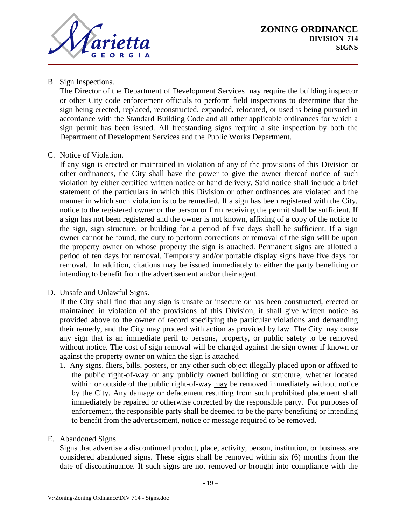

B. Sign Inspections.

The Director of the Department of Development Services may require the building inspector or other City code enforcement officials to perform field inspections to determine that the sign being erected, replaced, reconstructed, expanded, relocated, or used is being pursued in accordance with the Standard Building Code and all other applicable ordinances for which a sign permit has been issued. All freestanding signs require a site inspection by both the Department of Development Services and the Public Works Department.

# C. Notice of Violation.

If any sign is erected or maintained in violation of any of the provisions of this Division or other ordinances, the City shall have the power to give the owner thereof notice of such violation by either certified written notice or hand delivery. Said notice shall include a brief statement of the particulars in which this Division or other ordinances are violated and the manner in which such violation is to be remedied. If a sign has been registered with the City, notice to the registered owner or the person or firm receiving the permit shall be sufficient. If a sign has not been registered and the owner is not known, affixing of a copy of the notice to the sign, sign structure, or building for a period of five days shall be sufficient. If a sign owner cannot be found, the duty to perform corrections or removal of the sign will be upon the property owner on whose property the sign is attached. Permanent signs are allotted a period of ten days for removal. Temporary and/or portable display signs have five days for removal. In addition, citations may be issued immediately to either the party benefiting or intending to benefit from the advertisement and/or their agent.

D. Unsafe and Unlawful Signs.

If the City shall find that any sign is unsafe or insecure or has been constructed, erected or maintained in violation of the provisions of this Division, it shall give written notice as provided above to the owner of record specifying the particular violations and demanding their remedy, and the City may proceed with action as provided by law. The City may cause any sign that is an immediate peril to persons, property, or public safety to be removed without notice. The cost of sign removal will be charged against the sign owner if known or against the property owner on which the sign is attached

- 1. Any signs, fliers, bills, posters, or any other such object illegally placed upon or affixed to the public right-of-way or any publicly owned building or structure, whether located within or outside of the public right-of-way may be removed immediately without notice by the City. Any damage or defacement resulting from such prohibited placement shall immediately be repaired or otherwise corrected by the responsible party. For purposes of enforcement, the responsible party shall be deemed to be the party benefiting or intending to benefit from the advertisement, notice or message required to be removed.
- E. Abandoned Signs.

Signs that advertise a discontinued product, place, activity, person, institution, or business are considered abandoned signs. These signs shall be removed within six (6) months from the date of discontinuance. If such signs are not removed or brought into compliance with the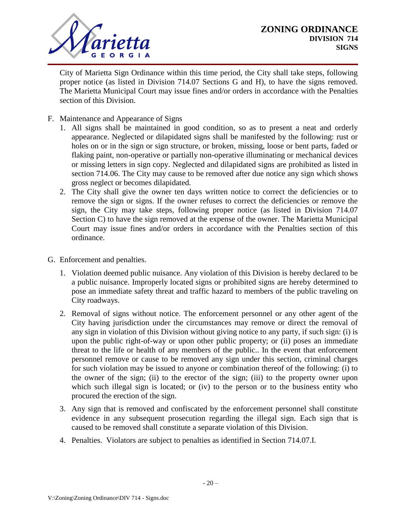

City of Marietta Sign Ordinance within this time period, the City shall take steps, following proper notice (as listed in Division 714.07 Sections G and H), to have the signs removed. The Marietta Municipal Court may issue fines and/or orders in accordance with the Penalties section of this Division.

- F. Maintenance and Appearance of Signs
	- 1. All signs shall be maintained in good condition, so as to present a neat and orderly appearance. Neglected or dilapidated signs shall be manifested by the following: rust or holes on or in the sign or sign structure, or broken, missing, loose or bent parts, faded or flaking paint, non-operative or partially non-operative illuminating or mechanical devices or missing letters in sign copy. Neglected and dilapidated signs are prohibited as listed in section 714.06. The City may cause to be removed after due notice any sign which shows gross neglect or becomes dilapidated.
	- 2. The City shall give the owner ten days written notice to correct the deficiencies or to remove the sign or signs. If the owner refuses to correct the deficiencies or remove the sign, the City may take steps, following proper notice (as listed in Division 714.07 Section C) to have the sign removed at the expense of the owner. The Marietta Municipal Court may issue fines and/or orders in accordance with the Penalties section of this ordinance.
- G. Enforcement and penalties.
	- 1. Violation deemed public nuisance. Any violation of this Division is hereby declared to be a public nuisance. Improperly located signs or prohibited signs are hereby determined to pose an immediate safety threat and traffic hazard to members of the public traveling on City roadways.
	- 2. Removal of signs without notice. The enforcement personnel or any other agent of the City having jurisdiction under the circumstances may remove or direct the removal of any sign in violation of this Division without giving notice to any party, if such sign: (i) is upon the public right-of-way or upon other public property; or (ii) poses an immediate threat to the life or health of any members of the public.. In the event that enforcement personnel remove or cause to be removed any sign under this section, criminal charges for such violation may be issued to anyone or combination thereof of the following: (i) to the owner of the sign; (ii) to the erector of the sign; (iii) to the property owner upon which such illegal sign is located; or (iv) to the person or to the business entity who procured the erection of the sign.
	- 3. Any sign that is removed and confiscated by the enforcement personnel shall constitute evidence in any subsequent prosecution regarding the illegal sign. Each sign that is caused to be removed shall constitute a separate violation of this Division.
	- 4. Penalties. Violators are subject to penalties as identified in Section 714.07.I.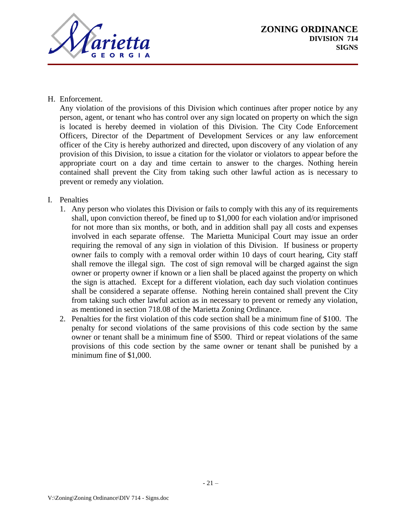

## H. Enforcement.

Any violation of the provisions of this Division which continues after proper notice by any person, agent, or tenant who has control over any sign located on property on which the sign is located is hereby deemed in violation of this Division. The City Code Enforcement Officers, Director of the Department of Development Services or any law enforcement officer of the City is hereby authorized and directed, upon discovery of any violation of any provision of this Division, to issue a citation for the violator or violators to appear before the appropriate court on a day and time certain to answer to the charges. Nothing herein contained shall prevent the City from taking such other lawful action as is necessary to prevent or remedy any violation.

### I. Penalties

- 1. Any person who violates this Division or fails to comply with this any of its requirements shall, upon conviction thereof, be fined up to \$1,000 for each violation and/or imprisoned for not more than six months, or both, and in addition shall pay all costs and expenses involved in each separate offense. The Marietta Municipal Court may issue an order requiring the removal of any sign in violation of this Division. If business or property owner fails to comply with a removal order within 10 days of court hearing, City staff shall remove the illegal sign. The cost of sign removal will be charged against the sign owner or property owner if known or a lien shall be placed against the property on which the sign is attached. Except for a different violation, each day such violation continues shall be considered a separate offense. Nothing herein contained shall prevent the City from taking such other lawful action as in necessary to prevent or remedy any violation, as mentioned in section 718.08 of the Marietta Zoning Ordinance.
- 2. Penalties for the first violation of this code section shall be a minimum fine of \$100. The penalty for second violations of the same provisions of this code section by the same owner or tenant shall be a minimum fine of \$500. Third or repeat violations of the same provisions of this code section by the same owner or tenant shall be punished by a minimum fine of \$1,000.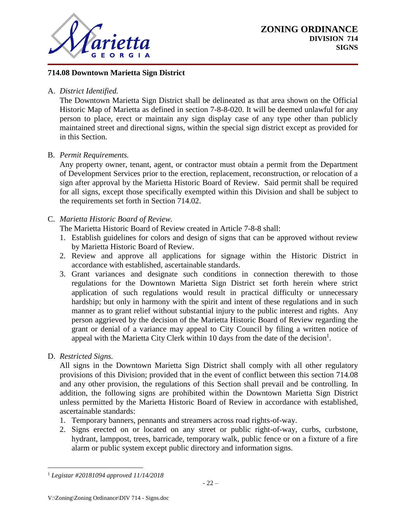

#### **714.08 Downtown Marietta Sign District**

A. *District Identified.*

The Downtown Marietta Sign District shall be delineated as that area shown on the Official Historic Map of Marietta as defined in section 7-8-8-020. It will be deemed unlawful for any person to place, erect or maintain any sign display case of any type other than publicly maintained street and directional signs, within the special sign district except as provided for in this Section.

#### B. *Permit Requirements.*

Any property owner, tenant, agent, or contractor must obtain a permit from the Department of Development Services prior to the erection, replacement, reconstruction, or relocation of a sign after approval by the Marietta Historic Board of Review. Said permit shall be required for all signs, except those specifically exempted within this Division and shall be subject to the requirements set forth in Section 714.02.

#### C. *Marietta Historic Board of Review.*

The Marietta Historic Board of Review created in Article 7-8-8 shall:

- 1. Establish guidelines for colors and design of signs that can be approved without review by Marietta Historic Board of Review.
- 2. Review and approve all applications for signage within the Historic District in accordance with established, ascertainable standards.
- 3. Grant variances and designate such conditions in connection therewith to those regulations for the Downtown Marietta Sign District set forth herein where strict application of such regulations would result in practical difficulty or unnecessary hardship; but only in harmony with the spirit and intent of these regulations and in such manner as to grant relief without substantial injury to the public interest and rights. Any person aggrieved by the decision of the Marietta Historic Board of Review regarding the grant or denial of a variance may appeal to City Council by filing a written notice of appeal with the Marietta City Clerk within 10 days from the date of the decision<sup>1</sup>.
- D. *Restricted Signs.*

 $\overline{a}$ 

All signs in the Downtown Marietta Sign District shall comply with all other regulatory provisions of this Division; provided that in the event of conflict between this section 714.08 and any other provision, the regulations of this Section shall prevail and be controlling. In addition, the following signs are prohibited within the Downtown Marietta Sign District unless permitted by the Marietta Historic Board of Review in accordance with established, ascertainable standards:

- 1. Temporary banners, pennants and streamers across road rights-of-way.
- 2. Signs erected on or located on any street or public right-of-way, curbs, curbstone, hydrant, lamppost, trees, barricade, temporary walk, public fence or on a fixture of a fire alarm or public system except public directory and information signs.

<sup>1</sup> *Legistar #20181094 approved 11/14/2018*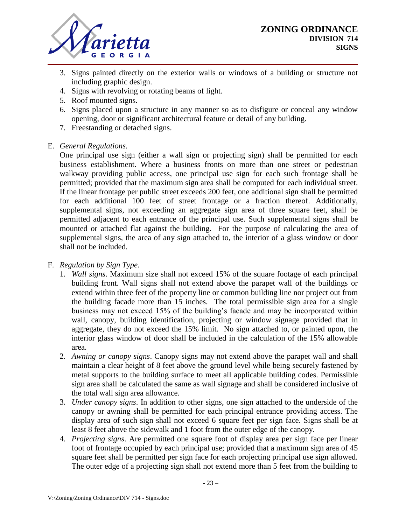

- 3. Signs painted directly on the exterior walls or windows of a building or structure not including graphic design.
- 4. Signs with revolving or rotating beams of light.
- 5. Roof mounted signs.
- 6. Signs placed upon a structure in any manner so as to disfigure or conceal any window opening, door or significant architectural feature or detail of any building.
- 7. Freestanding or detached signs.

### E. *General Regulations.*

One principal use sign (either a wall sign or projecting sign) shall be permitted for each business establishment. Where a business fronts on more than one street or pedestrian walkway providing public access, one principal use sign for each such frontage shall be permitted; provided that the maximum sign area shall be computed for each individual street. If the linear frontage per public street exceeds 200 feet, one additional sign shall be permitted for each additional 100 feet of street frontage or a fraction thereof. Additionally, supplemental signs, not exceeding an aggregate sign area of three square feet, shall be permitted adjacent to each entrance of the principal use. Such supplemental signs shall be mounted or attached flat against the building. For the purpose of calculating the area of supplemental signs, the area of any sign attached to, the interior of a glass window or door shall not be included.

## F. *Regulation by Sign Type.*

- 1. *Wall signs*. Maximum size shall not exceed 15% of the square footage of each principal building front. Wall signs shall not extend above the parapet wall of the buildings or extend within three feet of the property line or common building line nor project out from the building facade more than 15 inches. The total permissible sign area for a single business may not exceed 15% of the building's facade and may be incorporated within wall, canopy, building identification, projecting or window signage provided that in aggregate, they do not exceed the 15% limit. No sign attached to, or painted upon, the interior glass window of door shall be included in the calculation of the 15% allowable area.
- 2. *Awning or canopy signs*. Canopy signs may not extend above the parapet wall and shall maintain a clear height of 8 feet above the ground level while being securely fastened by metal supports to the building surface to meet all applicable building codes. Permissible sign area shall be calculated the same as wall signage and shall be considered inclusive of the total wall sign area allowance.
- 3. *Under canopy signs*. In addition to other signs, one sign attached to the underside of the canopy or awning shall be permitted for each principal entrance providing access. The display area of such sign shall not exceed 6 square feet per sign face. Signs shall be at least 8 feet above the sidewalk and 1 foot from the outer edge of the canopy.
- 4. *Projecting signs*. Are permitted one square foot of display area per sign face per linear foot of frontage occupied by each principal use; provided that a maximum sign area of 45 square feet shall be permitted per sign face for each projecting principal use sign allowed. The outer edge of a projecting sign shall not extend more than 5 feet from the building to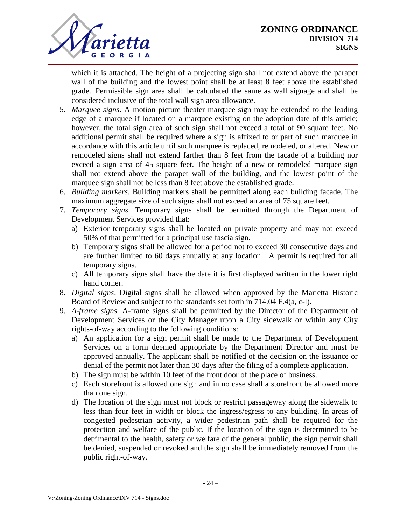

which it is attached. The height of a projecting sign shall not extend above the parapet wall of the building and the lowest point shall be at least 8 feet above the established grade. Permissible sign area shall be calculated the same as wall signage and shall be considered inclusive of the total wall sign area allowance.

- 5. *Marquee signs*. A motion picture theater marquee sign may be extended to the leading edge of a marquee if located on a marquee existing on the adoption date of this article; however, the total sign area of such sign shall not exceed a total of 90 square feet. No additional permit shall be required where a sign is affixed to or part of such marquee in accordance with this article until such marquee is replaced, remodeled, or altered. New or remodeled signs shall not extend farther than 8 feet from the facade of a building nor exceed a sign area of 45 square feet. The height of a new or remodeled marquee sign shall not extend above the parapet wall of the building, and the lowest point of the marquee sign shall not be less than 8 feet above the established grade.
- 6. *Building markers*. Building markers shall be permitted along each building facade. The maximum aggregate size of such signs shall not exceed an area of 75 square feet.
- 7. *Temporary signs*. Temporary signs shall be permitted through the Department of Development Services provided that:
	- a) Exterior temporary signs shall be located on private property and may not exceed 50% of that permitted for a principal use fascia sign.
	- b) Temporary signs shall be allowed for a period not to exceed 30 consecutive days and are further limited to 60 days annually at any location. A permit is required for all temporary signs.
	- c) All temporary signs shall have the date it is first displayed written in the lower right hand corner.
- 8. *Digital signs*. Digital signs shall be allowed when approved by the Marietta Historic Board of Review and subject to the standards set forth in 714.04 F.4(a, c-l).
- 9. *A-frame signs.* A-frame signs shall be permitted by the Director of the Department of Development Services or the City Manager upon a City sidewalk or within any City rights-of-way according to the following conditions:
	- a) An application for a sign permit shall be made to the Department of Development Services on a form deemed appropriate by the Department Director and must be approved annually. The applicant shall be notified of the decision on the issuance or denial of the permit not later than 30 days after the filing of a complete application.
	- b) The sign must be within 10 feet of the front door of the place of business.
	- c) Each storefront is allowed one sign and in no case shall a storefront be allowed more than one sign.
	- d) The location of the sign must not block or restrict passageway along the sidewalk to less than four feet in width or block the ingress/egress to any building. In areas of congested pedestrian activity, a wider pedestrian path shall be required for the protection and welfare of the public. If the location of the sign is determined to be detrimental to the health, safety or welfare of the general public, the sign permit shall be denied, suspended or revoked and the sign shall be immediately removed from the public right-of-way.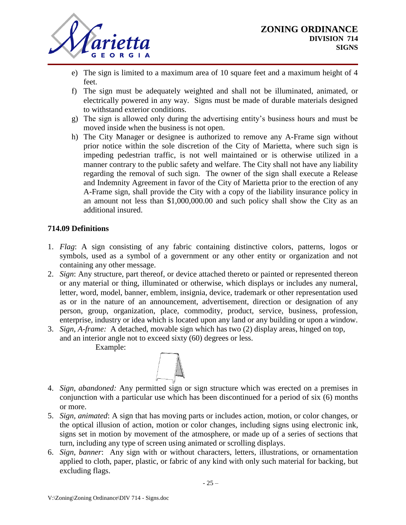

- e) The sign is limited to a maximum area of 10 square feet and a maximum height of 4 feet.
- f) The sign must be adequately weighted and shall not be illuminated, animated, or electrically powered in any way. Signs must be made of durable materials designed to withstand exterior conditions.
- g) The sign is allowed only during the advertising entity's business hours and must be moved inside when the business is not open.
- h) The City Manager or designee is authorized to remove any A-Frame sign without prior notice within the sole discretion of the City of Marietta, where such sign is impeding pedestrian traffic, is not well maintained or is otherwise utilized in a manner contrary to the public safety and welfare. The City shall not have any liability regarding the removal of such sign. The owner of the sign shall execute a Release and Indemnity Agreement in favor of the City of Marietta prior to the erection of any A-Frame sign, shall provide the City with a copy of the liability insurance policy in an amount not less than \$1,000,000.00 and such policy shall show the City as an additional insured.

### **714.09 Definitions**

- 1. *Flag*: A sign consisting of any fabric containing distinctive colors, patterns, logos or symbols, used as a symbol of a government or any other entity or organization and not containing any other message.
- 2. *Sign*: Any structure, part thereof, or device attached thereto or painted or represented thereon or any material or thing, illuminated or otherwise, which displays or includes any numeral, letter, word, model, banner, emblem, insignia, device, trademark or other representation used as or in the nature of an announcement, advertisement, direction or designation of any person, group, organization, place, commodity, product, service, business, profession, enterprise, industry or idea which is located upon any land or any building or upon a window.
- 3. *Sign, A-frame:* A detached, movable sign which has two (2) display areas, hinged on top, and an interior angle not to exceed sixty (60) degrees or less.

Example:



- 4. *Sign, abandoned:* Any permitted sign or sign structure which was erected on a premises in conjunction with a particular use which has been discontinued for a period of six (6) months or more.
- 5. *Sign, animated*: A sign that has moving parts or includes action, motion, or color changes, or the optical illusion of action, motion or color changes, including signs using electronic ink, signs set in motion by movement of the atmosphere, or made up of a series of sections that turn, including any type of screen using animated or scrolling displays.
- 6. *Sign, banner*: Any sign with or without characters, letters, illustrations, or ornamentation applied to cloth, paper, plastic, or fabric of any kind with only such material for backing, but excluding flags.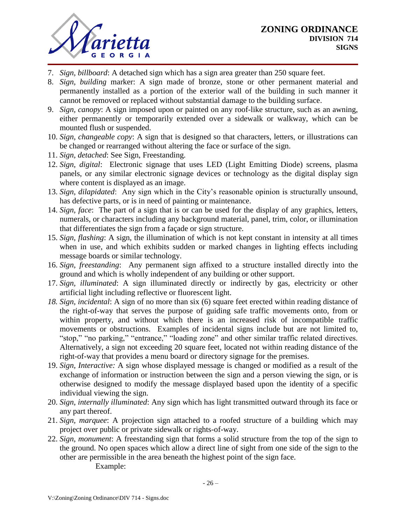

- 7. *Sign, billboard*: A detached sign which has a sign area greater than 250 square feet.
- 8. *Sign, building* marker: A sign made of bronze, stone or other permanent material and permanently installed as a portion of the exterior wall of the building in such manner it cannot be removed or replaced without substantial damage to the building surface.
- 9. *Sign, canopy*: A sign imposed upon or painted on any roof-like structure, such as an awning, either permanently or temporarily extended over a sidewalk or walkway, which can be mounted flush or suspended.
- 10. *Sign, changeable copy*: A sign that is designed so that characters, letters, or illustrations can be changed or rearranged without altering the face or surface of the sign.
- 11. *Sign, detached*: See Sign, Freestanding.
- 12. *Sign, digital*: Electronic signage that uses LED (Light Emitting Diode) screens, plasma panels, or any similar electronic signage devices or technology as the digital display sign where content is displayed as an image.
- 13. *Sign, dilapidated*: Any sign which in the City's reasonable opinion is structurally unsound, has defective parts, or is in need of painting or maintenance.
- 14. *Sign, face*: The part of a sign that is or can be used for the display of any graphics, letters, numerals, or characters including any background material, panel, trim, color, or illumination that differentiates the sign from a façade or sign structure.
- 15. *Sign, flashing*: A sign, the illumination of which is not kept constant in intensity at all times when in use, and which exhibits sudden or marked changes in lighting effects including message boards or similar technology.
- 16. *Sign, freestanding*: Any permanent sign affixed to a structure installed directly into the ground and which is wholly independent of any building or other support.
- 17. *Sign, illuminated*: A sign illuminated directly or indirectly by gas, electricity or other artificial light including reflective or fluorescent light.
- *18. Sign, incidental*: A sign of no more than six (6) square feet erected within reading distance of the right-of-way that serves the purpose of guiding safe traffic movements onto, from or within property, and without which there is an increased risk of incompatible traffic movements or obstructions. Examples of incidental signs include but are not limited to, "stop," "no parking," "entrance," "loading zone" and other similar traffic related directives. Alternatively, a sign not exceeding 20 square feet, located not within reading distance of the right-of-way that provides a menu board or directory signage for the premises.
- 19. *Sign, Interactive:* A sign whose displayed message is changed or modified as a result of the exchange of information or instruction between the sign and a person viewing the sign, or is otherwise designed to modify the message displayed based upon the identity of a specific individual viewing the sign.
- 20. *Sign, internally illuminated*: Any sign which has light transmitted outward through its face or any part thereof.
- 21. *Sign, marquee*: A projection sign attached to a roofed structure of a building which may project over public or private sidewalk or rights-of-way.
- 22. *Sign, monument*: A freestanding sign that forms a solid structure from the top of the sign to the ground. No open spaces which allow a direct line of sight from one side of the sign to the other are permissible in the area beneath the highest point of the sign face. Example: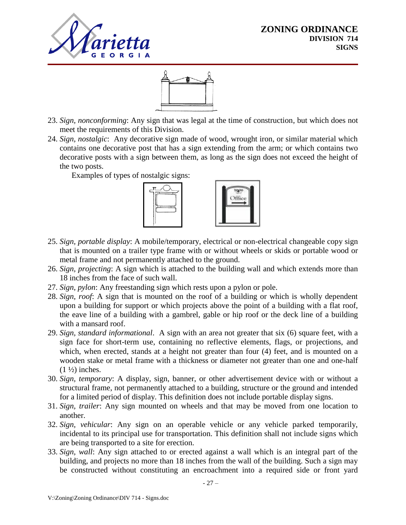



- 23. *Sign, nonconforming*: Any sign that was legal at the time of construction, but which does not meet the requirements of this Division.
- 24. *Sign, nostalgic*: Any decorative sign made of wood, wrought iron, or similar material which contains one decorative post that has a sign extending from the arm; or which contains two decorative posts with a sign between them, as long as the sign does not exceed the height of the two posts.

Examples of types of nostalgic signs:



- 25. *Sign, portable display*: A mobile/temporary, electrical or non-electrical changeable copy sign that is mounted on a trailer type frame with or without wheels or skids or portable wood or metal frame and not permanently attached to the ground.
- 26. *Sign, projecting*: A sign which is attached to the building wall and which extends more than 18 inches from the face of such wall.
- 27. *Sign, pylon*: Any freestanding sign which rests upon a pylon or pole.
- 28. *Sign, roof*: A sign that is mounted on the roof of a building or which is wholly dependent upon a building for support or which projects above the point of a building with a flat roof, the eave line of a building with a gambrel, gable or hip roof or the deck line of a building with a mansard roof.
- 29. *Sign, standard informational*. A sign with an area not greater that six (6) square feet, with a sign face for short-term use, containing no reflective elements, flags, or projections, and which, when erected, stands at a height not greater than four (4) feet, and is mounted on a wooden stake or metal frame with a thickness or diameter not greater than one and one-half  $(1 \frac{1}{2})$  inches.
- 30. *Sign, temporary*: A display, sign, banner, or other advertisement device with or without a structural frame, not permanently attached to a building, structure or the ground and intended for a limited period of display. This definition does not include portable display signs.
- 31. *Sign, trailer*: Any sign mounted on wheels and that may be moved from one location to another.
- 32. *Sign, vehicular*: Any sign on an operable vehicle or any vehicle parked temporarily, incidental to its principal use for transportation. This definition shall not include signs which are being transported to a site for erection.
- 33. *Sign, wall*: Any sign attached to or erected against a wall which is an integral part of the building, and projects no more than 18 inches from the wall of the building. Such a sign may be constructed without constituting an encroachment into a required side or front yard